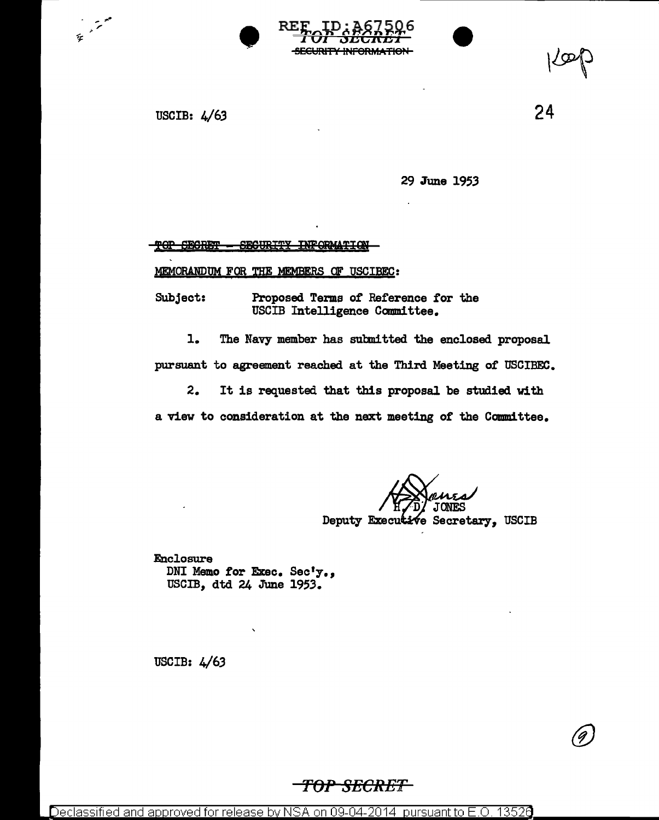



USCIB: 4/63

24

G)

29 June 1953

TOP SECRET - SEGURITY INFORMATION

MEMORANDUM FOR THE MEMBERS OF USCIBEC:

Subject: Proposed Terms of Reference tor the USCIB Intelligence Committee.

1. The Navy member has submitted the enclosed proposal pursuant to agreement reached at the Third Meeting of USCIBEC.

2. It is requested that this proposal be studied with a view to consideration at the next meeting of the Committee.

Deputy Executive Secretary, USCIB

Enclosure DNI Memo for Exec. Sec'y., USCIB, dtd 24 June 1953.

USCIB: 4/63

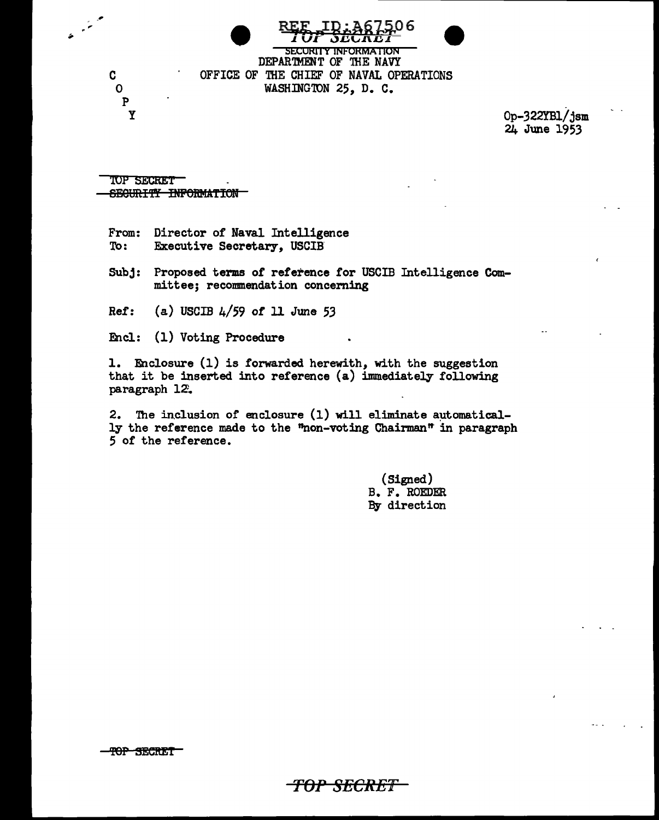**SECURITY INFORMATION** DEPARTMENT OF THE NAVY

OFFICE OF THE CHIEF OF NAVAL OPERATIONS WASHINGTON 25, D. C.

> Op-322YBl/jsm 24 June 1953

TOP SECRET SECURITY INFORMATION

C

 $\Omega$ 

 $\mathbf{P}$ Y

From: Director of Naval Intelligence Executive Secretary, USCIB To:

Subj: Proposed terms of reference for USCIB Intelligence Committee; recommendation concerning

(a) USCIB  $4/59$  of 11 June 53  $Ref:$ 

Encl: (1) Voting Procedure

1. Enclosure (1) is forwarded herewith, with the suggestion that it be inserted into reference (a) immediately following paragraph 12.

2. The inclusion of enclosure (1) will eliminate automatically the reference made to the "non-voting Chairman" in paragraph 5 of the reference.

-<del>TOP SECRET -</del>

(Signed) B. F. ROEDER By direction

TOP SECRET